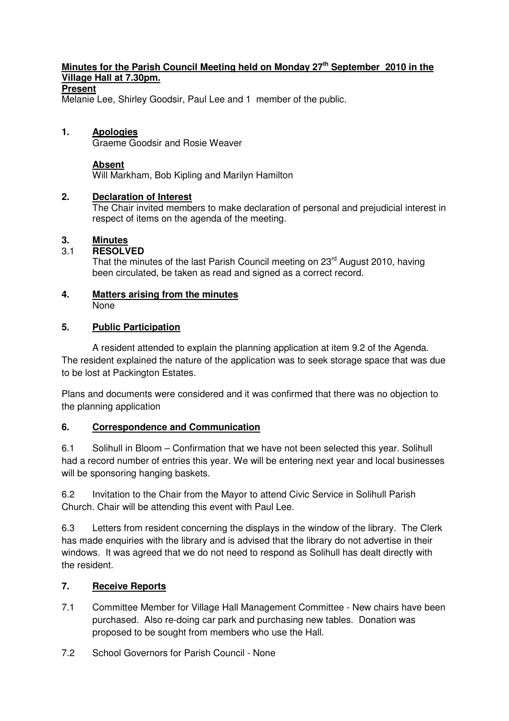### **Minutes for the Parish Council Meeting held on Monday 27th September 2010 in the Village Hall at 7.30pm.**

### **Present**

Melanie Lee, Shirley Goodsir, Paul Lee and 1 member of the public.

#### **1. Apologies**

Graeme Goodsir and Rosie Weaver

#### **Absent**

Will Markham, Bob Kipling and Marilyn Hamilton

#### **2. Declaration of Interest**

The Chair invited members to make declaration of personal and prejudicial interest in respect of items on the agenda of the meeting.

### **3. Minutes**

#### 3.1 **RESOLVED**

That the minutes of the last Parish Council meeting on 23<sup>rd</sup> August 2010, having been circulated, be taken as read and signed as a correct record.

#### **4. Matters arising from the minutes** None

#### **5. Public Participation**

 A resident attended to explain the planning application at item 9.2 of the Agenda. The resident explained the nature of the application was to seek storage space that was due to be lost at Packington Estates.

Plans and documents were considered and it was confirmed that there was no objection to the planning application

### **6. Correspondence and Communication**

6.1 Solihull in Bloom – Confirmation that we have not been selected this year. Solihull had a record number of entries this year. We will be entering next year and local businesses will be sponsoring hanging baskets.

6.2 Invitation to the Chair from the Mayor to attend Civic Service in Solihull Parish Church. Chair will be attending this event with Paul Lee.

6.3 Letters from resident concerning the displays in the window of the library. The Clerk has made enquiries with the library and is advised that the library do not advertise in their windows. It was agreed that we do not need to respond as Solihull has dealt directly with the resident.

### **7. Receive Reports**

- 7.1 Committee Member for Village Hall Management Committee New chairs have been purchased. Also re-doing car park and purchasing new tables. Donation was proposed to be sought from members who use the Hall.
- 7.2 School Governors for Parish Council None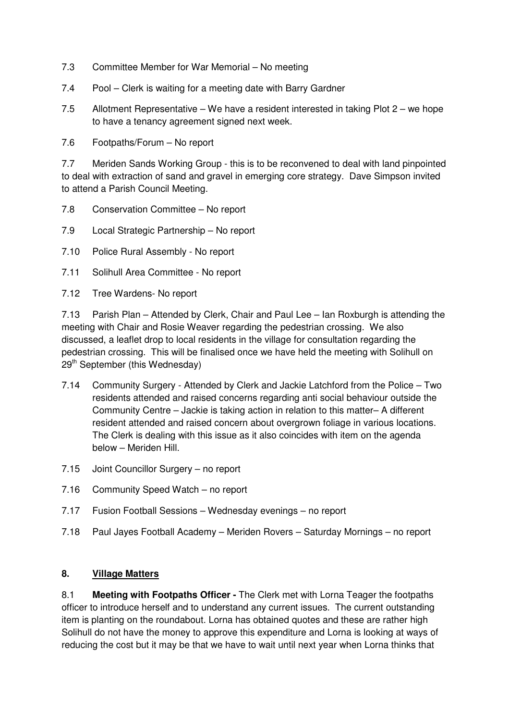- 7.3 Committee Member for War Memorial No meeting
- 7.4 Pool Clerk is waiting for a meeting date with Barry Gardner
- 7.5 Allotment Representative We have a resident interested in taking Plot 2 we hope to have a tenancy agreement signed next week.
- 7.6 Footpaths/Forum No report

7.7 Meriden Sands Working Group - this is to be reconvened to deal with land pinpointed to deal with extraction of sand and gravel in emerging core strategy. Dave Simpson invited to attend a Parish Council Meeting.

- 7.8 Conservation Committee No report
- 7.9 Local Strategic Partnership No report
- 7.10 Police Rural Assembly No report
- 7.11 Solihull Area Committee No report
- 7.12 Tree Wardens- No report

7.13 Parish Plan – Attended by Clerk, Chair and Paul Lee – Ian Roxburgh is attending the meeting with Chair and Rosie Weaver regarding the pedestrian crossing. We also discussed, a leaflet drop to local residents in the village for consultation regarding the pedestrian crossing. This will be finalised once we have held the meeting with Solihull on 29<sup>th</sup> September (this Wednesday)

- 7.14 Community Surgery Attended by Clerk and Jackie Latchford from the Police Two residents attended and raised concerns regarding anti social behaviour outside the Community Centre – Jackie is taking action in relation to this matter– A different resident attended and raised concern about overgrown foliage in various locations. The Clerk is dealing with this issue as it also coincides with item on the agenda below – Meriden Hill.
- 7.15 Joint Councillor Surgery no report
- 7.16 Community Speed Watch no report
- 7.17 Fusion Football Sessions Wednesday evenings no report
- 7.18 Paul Jayes Football Academy Meriden Rovers Saturday Mornings no report

### **8. Village Matters**

8.1 **Meeting with Footpaths Officer -** The Clerk met with Lorna Teager the footpaths officer to introduce herself and to understand any current issues. The current outstanding item is planting on the roundabout. Lorna has obtained quotes and these are rather high Solihull do not have the money to approve this expenditure and Lorna is looking at ways of reducing the cost but it may be that we have to wait until next year when Lorna thinks that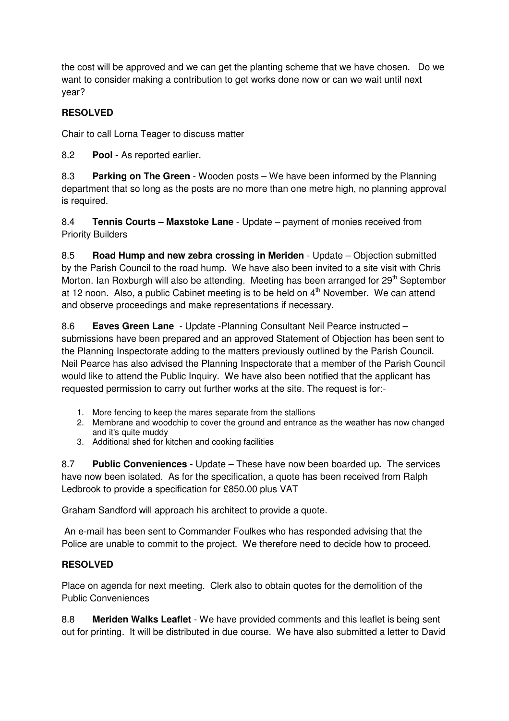the cost will be approved and we can get the planting scheme that we have chosen. Do we want to consider making a contribution to get works done now or can we wait until next year?

# **RESOLVED**

Chair to call Lorna Teager to discuss matter

8.2 **Pool -** As reported earlier.

8.3 **Parking on The Green** - Wooden posts – We have been informed by the Planning department that so long as the posts are no more than one metre high, no planning approval is required.

8.4 **Tennis Courts – Maxstoke Lane** - Update – payment of monies received from Priority Builders

8.5 **Road Hump and new zebra crossing in Meriden** - Update – Objection submitted by the Parish Council to the road hump. We have also been invited to a site visit with Chris Morton. Ian Roxburgh will also be attending. Meeting has been arranged for  $29<sup>th</sup>$  September at 12 noon. Also, a public Cabinet meeting is to be held on  $4<sup>th</sup>$  November. We can attend and observe proceedings and make representations if necessary.

8.6 **Eaves Green Lane** - Update -Planning Consultant Neil Pearce instructed – submissions have been prepared and an approved Statement of Objection has been sent to the Planning Inspectorate adding to the matters previously outlined by the Parish Council. Neil Pearce has also advised the Planning Inspectorate that a member of the Parish Council would like to attend the Public Inquiry. We have also been notified that the applicant has requested permission to carry out further works at the site. The request is for:-

- 1. More fencing to keep the mares separate from the stallions
- 2. Membrane and woodchip to cover the ground and entrance as the weather has now changed and it's quite muddy
- 3. Additional shed for kitchen and cooking facilities

8.7 **Public Conveniences -** Update – These have now been boarded up**.** The services have now been isolated. As for the specification, a quote has been received from Ralph Ledbrook to provide a specification for £850.00 plus VAT

Graham Sandford will approach his architect to provide a quote.

 An e-mail has been sent to Commander Foulkes who has responded advising that the Police are unable to commit to the project.We therefore need to decide how to proceed.

## **RESOLVED**

Place on agenda for next meeting. Clerk also to obtain quotes for the demolition of the Public Conveniences

8.8 **Meriden Walks Leaflet** - We have provided comments and this leaflet is being sent out for printing. It will be distributed in due course. We have also submitted a letter to David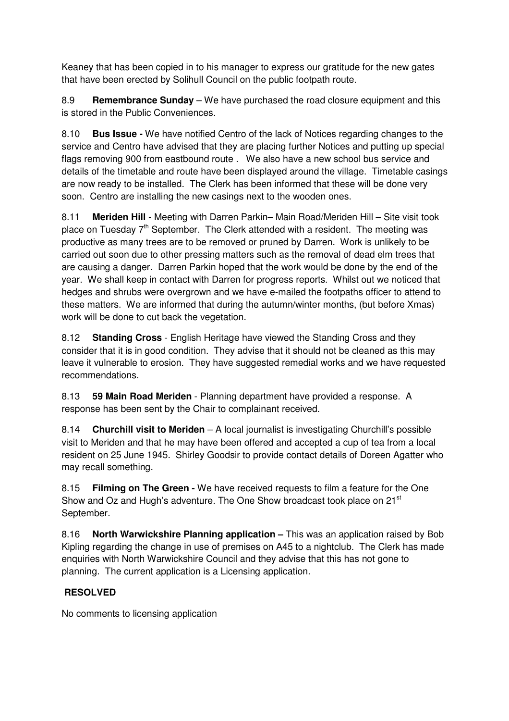Keaney that has been copied in to his manager to express our gratitude for the new gates that have been erected by Solihull Council on the public footpath route.

8.9 **Remembrance Sunday** – We have purchased the road closure equipment and this is stored in the Public Conveniences.

8.10 **Bus Issue -** We have notified Centro of the lack of Notices regarding changes to the service and Centro have advised that they are placing further Notices and putting up special flags removing 900 from eastbound route . We also have a new school bus service and details of the timetable and route have been displayed around the village. Timetable casings are now ready to be installed. The Clerk has been informed that these will be done very soon. Centro are installing the new casings next to the wooden ones.

8.11 **Meriden Hill** - Meeting with Darren Parkin– Main Road/Meriden Hill – Site visit took place on Tuesday  $7<sup>th</sup>$  September. The Clerk attended with a resident. The meeting was productive as many trees are to be removed or pruned by Darren. Work is unlikely to be carried out soon due to other pressing matters such as the removal of dead elm trees that are causing a danger. Darren Parkin hoped that the work would be done by the end of the year. We shall keep in contact with Darren for progress reports. Whilst out we noticed that hedges and shrubs were overgrown and we have e-mailed the footpaths officer to attend to these matters. We are informed that during the autumn/winter months, (but before Xmas) work will be done to cut back the vegetation.

8.12 **Standing Cross** - English Heritage have viewed the Standing Cross and they consider that it is in good condition. They advise that it should not be cleaned as this may leave it vulnerable to erosion. They have suggested remedial works and we have requested recommendations.

8.13 **59 Main Road Meriden** - Planning department have provided a response. A response has been sent by the Chair to complainant received.

8.14 **Churchill visit to Meriden** – A local journalist is investigating Churchill's possible visit to Meriden and that he may have been offered and accepted a cup of tea from a local resident on 25 June 1945. Shirley Goodsir to provide contact details of Doreen Agatter who may recall something.

8.15 **Filming on The Green -** We have received requests to film a feature for the One Show and Oz and Hugh's adventure. The One Show broadcast took place on 21<sup>st</sup> September.

8.16 **North Warwickshire Planning application –** This was an application raised by Bob Kipling regarding the change in use of premises on A45 to a nightclub. The Clerk has made enquiries with North Warwickshire Council and they advise that this has not gone to planning. The current application is a Licensing application.

## **RESOLVED**

No comments to licensing application